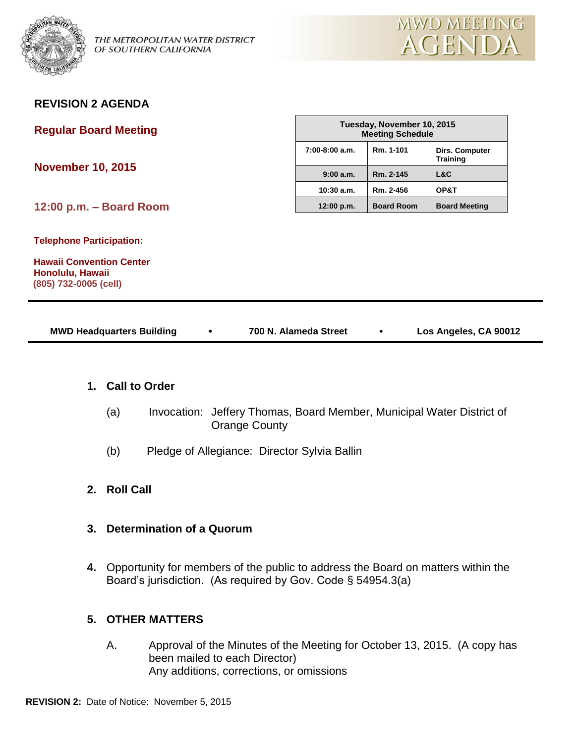

**REVISION 2 AGENDA**



| <b>Regular Board Meeting</b>                                                                                    |                  | Tuesday, November 10, 2015<br><b>Meeting Schedule</b> |                                   |  |
|-----------------------------------------------------------------------------------------------------------------|------------------|-------------------------------------------------------|-----------------------------------|--|
| <b>November 10, 2015</b>                                                                                        | $7:00-8:00$ a.m. | Rm. 1-101                                             | Dirs. Computer<br><b>Training</b> |  |
|                                                                                                                 | 9:00a.m.         | Rm. 2-145                                             | L&C                               |  |
|                                                                                                                 | $10:30$ a.m.     | Rm. 2-456                                             | OP&T                              |  |
| 12:00 p.m. - Board Room                                                                                         | 12:00 p.m.       | <b>Board Room</b>                                     | <b>Board Meeting</b>              |  |
| <b>Telephone Participation:</b><br><b>Hawaii Convention Center</b><br>Honolulu, Hawaii<br>(805) 732-0005 (cell) |                  |                                                       |                                   |  |

| <b>MWD Headquarters Building</b> |  | 700 N. Alameda Street |  | Los Angeles, CA 90012 |
|----------------------------------|--|-----------------------|--|-----------------------|
|----------------------------------|--|-----------------------|--|-----------------------|

## **1. Call to Order**

- (a) Invocation: Jeffery Thomas, Board Member, Municipal Water District of Orange County
- (b) Pledge of Allegiance: Director Sylvia Ballin
- **2. Roll Call**
- **3. Determination of a Quorum**
- **4.** Opportunity for members of the public to address the Board on matters within the Board's jurisdiction. (As required by Gov. Code § 54954.3(a)

# **5. OTHER MATTERS**

A. Approval of the Minutes of the Meeting for October 13, 2015. (A copy has been mailed to each Director) Any additions, corrections, or omissions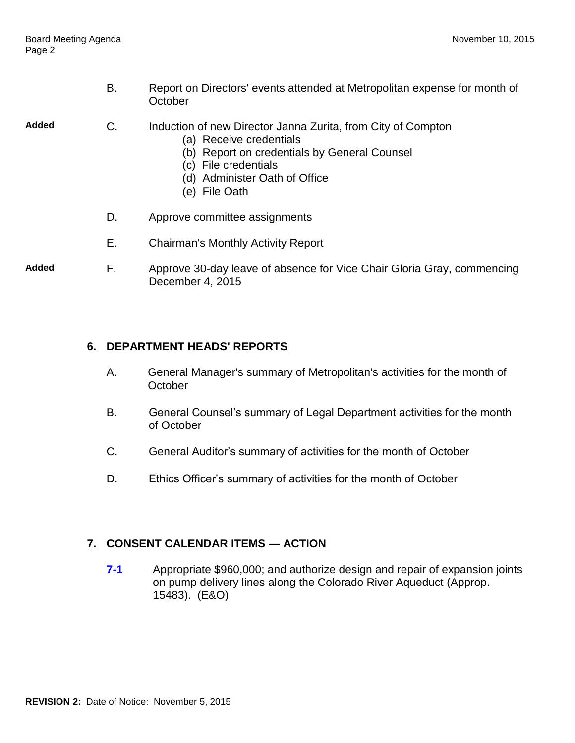B. Report on Directors' events attended at Metropolitan expense for month of **October** 

- **Added** C. Induction of new Director Janna Zurita, from City of Compton
	- (a) Receive credentials
	- (b) Report on credentials by General Counsel
	- (c) File credentials
	- (d) Administer Oath of Office
	- (e) File Oath
	- D. Approve committee assignments
	- E. Chairman's Monthly Activity Report
- **Added** F. Approve 30-day leave of absence for Vice Chair Gloria Gray, commencing December 4, 2015

#### **6. DEPARTMENT HEADS' REPORTS**

- A. General Manager's summary of Metropolitan's activities for the month of **October**
- B. General Counsel's summary of Legal Department activities for the month of October
- C. General Auditor's summary of activities for the month of October
- D. Ethics Officer's summary of activities for the month of October

## **7. CONSENT CALENDAR ITEMS — ACTION**

**7-1** Appropriate \$960,000; and authorize design and repair of expansion joints on pump delivery lines along the Colorado River Aqueduct (Approp. 15483). (E&O)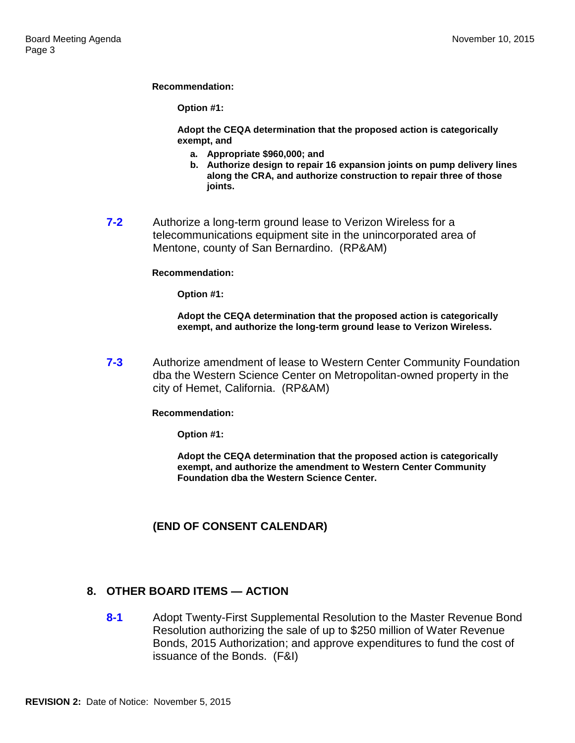**Recommendation:**

**Option #1:**

**Adopt the CEQA determination that the proposed action is categorically exempt, and**

- **a. Appropriate \$960,000; and**
- **b. Authorize design to repair 16 expansion joints on pump delivery lines along the CRA, and authorize construction to repair three of those joints.**
- **7-2** Authorize a long-term ground lease to Verizon Wireless for a telecommunications equipment site in the unincorporated area of Mentone, county of San Bernardino. (RP&AM)

#### **Recommendation:**

**Option #1:**

**Adopt the CEQA determination that the proposed action is categorically exempt, and authorize the long-term ground lease to Verizon Wireless.**

**7-3** Authorize amendment of lease to Western Center Community Foundation dba the Western Science Center on Metropolitan-owned property in the city of Hemet, California. (RP&AM)

**Recommendation:**

**Option #1:**

**Adopt the CEQA determination that the proposed action is categorically exempt, and authorize the amendment to Western Center Community Foundation dba the Western Science Center.**

## **(END OF CONSENT CALENDAR)**

#### **8. OTHER BOARD ITEMS — ACTION**

**8-1** Adopt Twenty-First Supplemental Resolution to the Master Revenue Bond Resolution authorizing the sale of up to \$250 million of Water Revenue Bonds, 2015 Authorization; and approve expenditures to fund the cost of issuance of the Bonds. (F&I)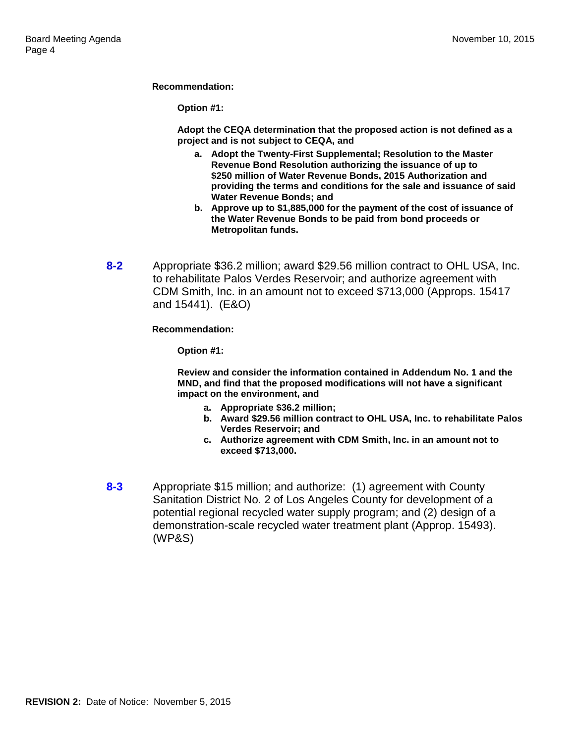**Recommendation:**

**Option #1:**

**Adopt the CEQA determination that the proposed action is not defined as a project and is not subject to CEQA, and**

- **a. Adopt the Twenty-First Supplemental; Resolution to the Master Revenue Bond Resolution authorizing the issuance of up to \$250 million of Water Revenue Bonds, 2015 Authorization and providing the terms and conditions for the sale and issuance of said Water Revenue Bonds; and**
- **b. Approve up to \$1,885,000 for the payment of the cost of issuance of the Water Revenue Bonds to be paid from bond proceeds or Metropolitan funds.**
- **8-2** Appropriate \$36.2 million; award \$29.56 million contract to OHL USA, Inc. to rehabilitate Palos Verdes Reservoir; and authorize agreement with CDM Smith, Inc. in an amount not to exceed \$713,000 (Approps. 15417 and 15441). (E&O)

**Recommendation:**

**Option #1:**

**Review and consider the information contained in Addendum No. 1 and the MND, and find that the proposed modifications will not have a significant impact on the environment, and**

- **a. Appropriate \$36.2 million;**
- **b. Award \$29.56 million contract to OHL USA, Inc. to rehabilitate Palos Verdes Reservoir; and**
- **c. Authorize agreement with CDM Smith, Inc. in an amount not to exceed \$713,000.**
- **8-3** Appropriate \$15 million; and authorize: (1) agreement with County Sanitation District No. 2 of Los Angeles County for development of a potential regional recycled water supply program; and (2) design of a demonstration-scale recycled water treatment plant (Approp. 15493). (WP&S)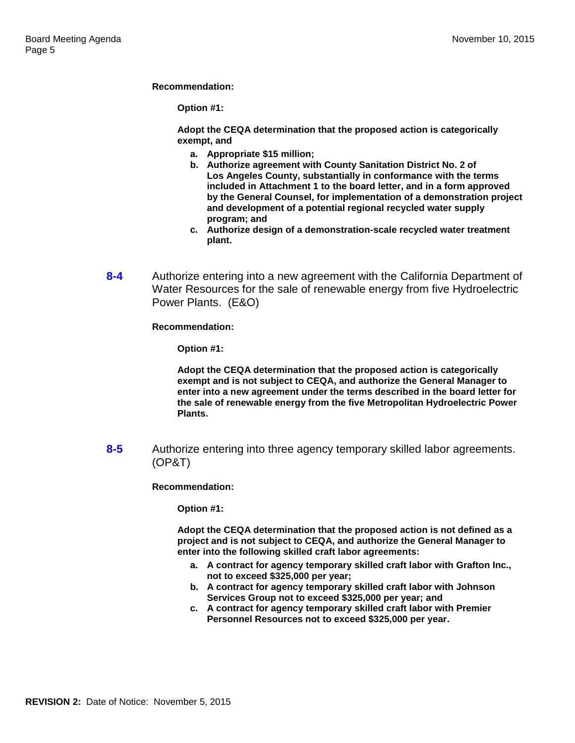**Recommendation:**

**Option #1:**

**Adopt the CEQA determination that the proposed action is categorically exempt, and**

- **a. Appropriate \$15 million;**
- **b. Authorize agreement with County Sanitation District No. 2 of Los Angeles County, substantially in conformance with the terms included in Attachment 1 to the board letter, and in a form approved by the General Counsel, for implementation of a demonstration project and development of a potential regional recycled water supply program; and**
- **c. Authorize design of a demonstration-scale recycled water treatment plant.**
- **8-4** Authorize entering into a new agreement with the California Department of Water Resources for the sale of renewable energy from five Hydroelectric Power Plants. (E&O)

**Recommendation:**

**Option #1:**

**Adopt the CEQA determination that the proposed action is categorically exempt and is not subject to CEQA, and authorize the General Manager to enter into a new agreement under the terms described in the board letter for the sale of renewable energy from the five Metropolitan Hydroelectric Power Plants.**

**8-5** Authorize entering into three agency temporary skilled labor agreements. (OP&T)

**Recommendation:**

**Option #1:**

**Adopt the CEQA determination that the proposed action is not defined as a project and is not subject to CEQA, and authorize the General Manager to enter into the following skilled craft labor agreements:**

- **a. A contract for agency temporary skilled craft labor with Grafton Inc., not to exceed \$325,000 per year;**
- **b. A contract for agency temporary skilled craft labor with Johnson Services Group not to exceed \$325,000 per year; and**
- **c. A contract for agency temporary skilled craft labor with Premier Personnel Resources not to exceed \$325,000 per year.**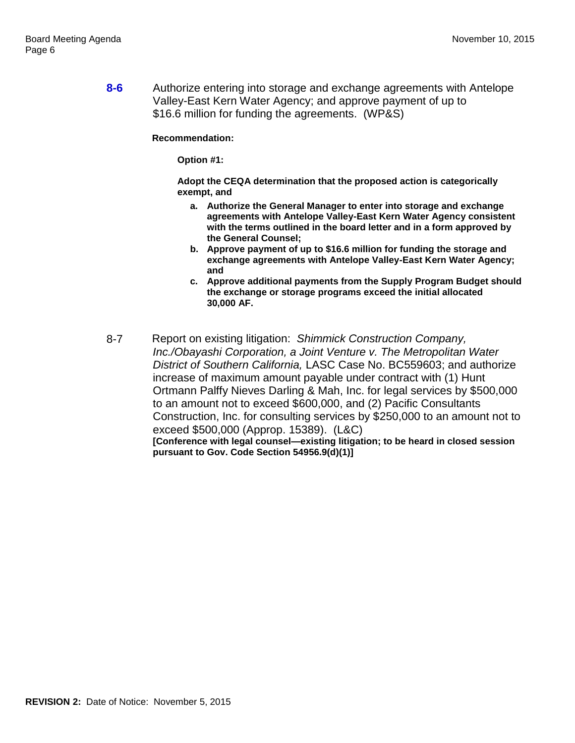**8-6** Authorize entering into storage and exchange agreements with Antelope Valley-East Kern Water Agency; and approve payment of up to \$16.6 million for funding the agreements. (WP&S)

**Recommendation:**

**Option #1:**

**Adopt the CEQA determination that the proposed action is categorically exempt, and**

- **a. Authorize the General Manager to enter into storage and exchange agreements with Antelope Valley-East Kern Water Agency consistent with the terms outlined in the board letter and in a form approved by the General Counsel;**
- **b. Approve payment of up to \$16.6 million for funding the storage and exchange agreements with Antelope Valley-East Kern Water Agency; and**
- **c. Approve additional payments from the Supply Program Budget should the exchange or storage programs exceed the initial allocated 30,000 AF.**
- 8-7 Report on existing litigation: *Shimmick Construction Company, Inc./Obayashi Corporation, a Joint Venture v. The Metropolitan Water District of Southern California,* LASC Case No. BC559603; and authorize increase of maximum amount payable under contract with (1) Hunt Ortmann Palffy Nieves Darling & Mah, Inc. for legal services by \$500,000 to an amount not to exceed \$600,000, and (2) Pacific Consultants Construction, Inc. for consulting services by \$250,000 to an amount not to exceed \$500,000 (Approp. 15389). (L&C) **[Conference with legal counsel—existing litigation; to be heard in closed session pursuant to Gov. Code Section 54956.9(d)(1)]**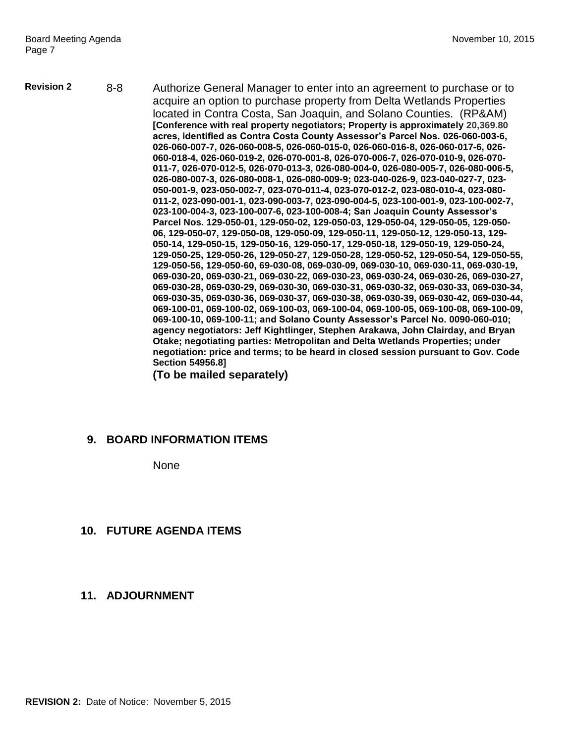**Revision 2** 8-8 Authorize General Manager to enter into an agreement to purchase or to acquire an option to purchase property from Delta Wetlands Properties located in Contra Costa, San Joaquin, and Solano Counties. (RP&AM) **[Conference with real property negotiators; Property is approximately 20,369.80 acres, identified as Contra Costa County Assessor's Parcel Nos. 026-060-003-6, 026-060-007-7, 026-060-008-5, 026-060-015-0, 026-060-016-8, 026-060-017-6, 026- 060-018-4, 026-060-019-2, 026-070-001-8, 026-070-006-7, 026-070-010-9, 026-070- 011-7, 026-070-012-5, 026-070-013-3, 026-080-004-0, 026-080-005-7, 026-080-006-5, 026-080-007-3, 026-080-008-1, 026-080-009-9; 023-040-026-9, 023-040-027-7, 023- 050-001-9, 023-050-002-7, 023-070-011-4, 023-070-012-2, 023-080-010-4, 023-080- 011-2, 023-090-001-1, 023-090-003-7, 023-090-004-5, 023-100-001-9, 023-100-002-7, 023-100-004-3, 023-100-007-6, 023-100-008-4; San Joaquin County Assessor's Parcel Nos. 129-050-01, 129-050-02, 129-050-03, 129-050-04, 129-050-05, 129-050- 06, 129-050-07, 129-050-08, 129-050-09, 129-050-11, 129-050-12, 129-050-13, 129- 050-14, 129-050-15, 129-050-16, 129-050-17, 129-050-18, 129-050-19, 129-050-24, 129-050-25, 129-050-26, 129-050-27, 129-050-28, 129-050-52, 129-050-54, 129-050-55, 129-050-56, 129-050-60, 69-030-08, 069-030-09, 069-030-10, 069-030-11, 069-030-19, 069-030-20, 069-030-21, 069-030-22, 069-030-23, 069-030-24, 069-030-26, 069-030-27, 069-030-28, 069-030-29, 069-030-30, 069-030-31, 069-030-32, 069-030-33, 069-030-34, 069-030-35, 069-030-36, 069-030-37, 069-030-38, 069-030-39, 069-030-42, 069-030-44, 069-100-01, 069-100-02, 069-100-03, 069-100-04, 069-100-05, 069-100-08, 069-100-09, 069-100-10, 069-100-11; and Solano County Assessor's Parcel No. 0090-060-010; agency negotiators: Jeff Kightlinger, Stephen Arakawa, John Clairday, and Bryan Otake; negotiating parties: Metropolitan and Delta Wetlands Properties; under negotiation: price and terms; to be heard in closed session pursuant to Gov. Code Section 54956.8]**

**(To be mailed separately)**

## **9. BOARD INFORMATION ITEMS**

None

## **10. FUTURE AGENDA ITEMS**

## **11. ADJOURNMENT**